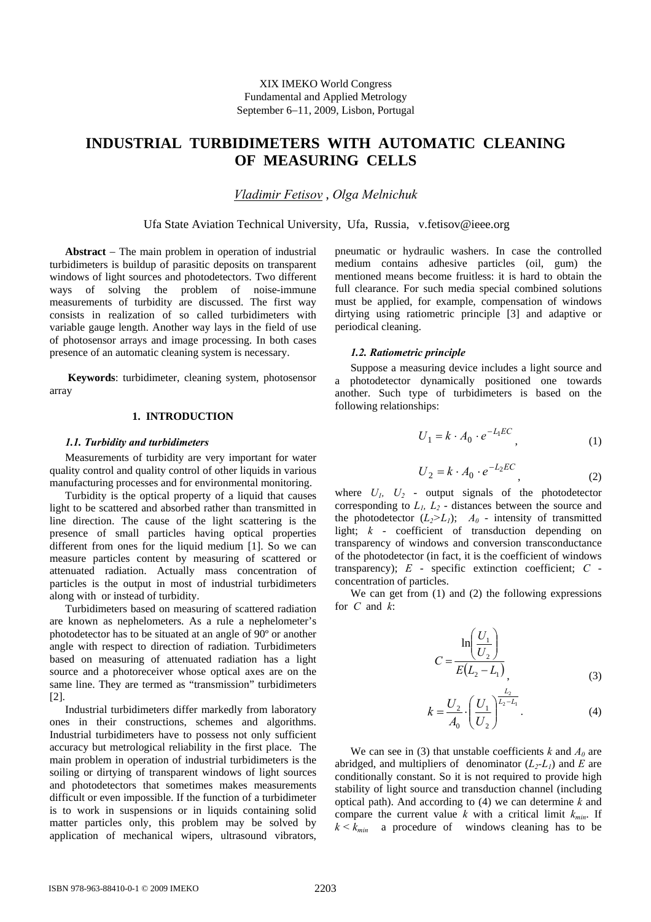# **INDUSTRIAL TURBIDIMETERS WITH AUTOMATIC CLEANING OF MEASURING CELLS**

*Vladimir Fetisov* , *Olga Melnichuk* 

Ufa State Aviation Technical University, Ufa, Russia, v.fetisov@ieee.org

**Abstract** − The main problem in operation of industrial turbidimeters is buildup of parasitic deposits on transparent windows of light sources and photodetectors. Two different ways of solving the problem of noise-immune measurements of turbidity are discussed. The first way consists in realization of so called turbidimeters with variable gauge length. Another way lays in the field of use of photosensor arrays and image processing. In both cases presence of an automatic cleaning system is necessary.

 **Keywords**: turbidimeter, cleaning system, photosensor array

## **1. INTRODUCTION**

#### *1.1. Turbidity and turbidimeters*

Measurements of turbidity are very important for water quality control and quality control of other liquids in various manufacturing processes and for environmental monitoring.

Turbidity is the optical property of a liquid that causes light to be scattered and absorbed rather than transmitted in line direction. The cause of the light scattering is the presence of small particles having optical properties different from ones for the liquid medium [1]. So we can measure particles content by measuring of scattered or attenuated radiation. Actually mass concentration of particles is the output in most of industrial turbidimeters along with or instead of turbidity.

Turbidimeters based on measuring of scattered radiation are known as nephelometers. As a rule a nephelometer's photodetector has to be situated at an angle of 90º or another angle with respect to direction of radiation. Turbidimeters based on measuring of attenuated radiation has a light source and a photoreceiver whose optical axes are on the same line. They are termed as "transmission" turbidimeters [2].

Industrial turbidimeters differ markedly from laboratory ones in their constructions, schemes and algorithms. Industrial turbidimeters have to possess not only sufficient accuracy but metrological reliability in the first place. The main problem in operation of industrial turbidimeters is the soiling or dirtying of transparent windows of light sources and photodetectors that sometimes makes measurements difficult or even impossible. If the function of a turbidimeter is to work in suspensions or in liquids containing solid matter particles only, this problem may be solved by application of mechanical wipers, ultrasound vibrators, pneumatic or hydraulic washers. In case the controlled medium contains adhesive particles (oil, gum) the mentioned means become fruitless: it is hard to obtain the full clearance. For such media special combined solutions must be applied, for example, compensation of windows dirtying using ratiometric principle [3] and adaptive or periodical cleaning.

## *1.2. Ratiometric principle*

Suppose a measuring device includes a light source and a photodetector dynamically positioned one towards another. Such type of turbidimeters is based on the following relationships:

$$
U_1 = k \cdot A_0 \cdot e^{-L_1 EC}, \qquad (1)
$$

$$
U_2 = k \cdot A_0 \cdot e^{-L_2 EC}, \qquad (2)
$$

where  $U_1$ ,  $U_2$  - output signals of the photodetector corresponding to  $L_1$ ,  $L_2$  - distances between the source and the photodetector  $(L_2>L_1)$ ;  $A_0$  - intensity of transmitted light; *k* - coefficient of transduction depending on transparency of windows and conversion transconductance of the photodetector (in fact, it is the coefficient of windows transparency); *E* - specific extinction coefficient; *C* concentration of particles.

We can get from (1) and (2) the following expressions for *C* and *k*:

$$
C = \frac{\ln\left(\frac{U_1}{U_2}\right)}{E(L_2 - L_1)},
$$
\n(3)

$$
k = \frac{U_2}{A_0} \cdot \left(\frac{U_1}{U_2}\right)^{\frac{L_2}{L_2 - L_1}}.
$$
 (4)

We can see in (3) that unstable coefficients  $k$  and  $A_0$  are abridged, and multipliers of denominator  $(L_2-L_1)$  and *E* are conditionally constant. So it is not required to provide high stability of light source and transduction channel (including optical path). And according to (4) we can determine *k* and compare the current value  $k$  with a critical limit  $k_{min}$ . If  $k < k_{min}$  a procedure of windows cleaning has to be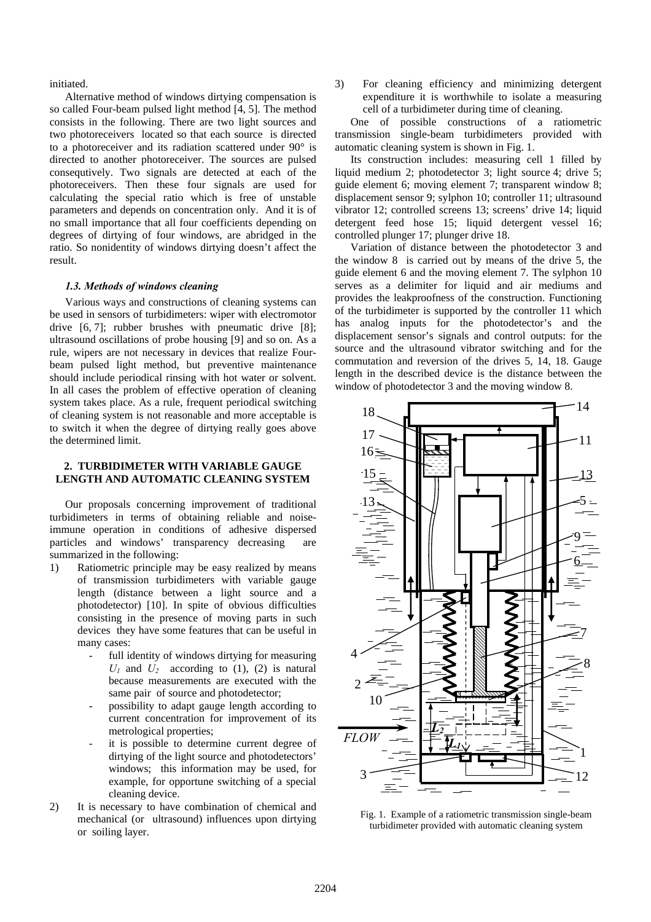## initiated.

Alternative method of windows dirtying compensation is so called Four-beam pulsed light method [4, 5]. The method consists in the following. There are two light sources and two photoreceivers located so that each source is directed to a photoreceiver and its radiation scattered under 90° is directed to another photoreceiver. The sources are pulsed consequtively. Two signals are detected at each of the photoreceivers. Then these four signals are used for calculating the special ratio which is free of unstable parameters and depends on concentration only. And it is of no small importance that all four coefficients depending on degrees of dirtying of four windows, are abridged in the ratio. So nonidentity of windows dirtying doesn't affect the result.

### *1.3. Methods of windows cleaning*

Various ways and constructions of cleaning systems can be used in sensors of turbidimeters: wiper with electromotor drive [6, 7]; rubber brushes with pneumatic drive [8]; ultrasound oscillations of probe housing [9] and so on. As a rule, wipers are not necessary in devices that realize Fourbeam pulsed light method, but preventive maintenance should include periodical rinsing with hot water or solvent. In all cases the problem of effective operation of cleaning system takes place. As a rule, frequent periodical switching of cleaning system is not reasonable and more acceptable is to switch it when the degree of dirtying really goes above the determined limit.

# **2. TURBIDIMETER WITH VARIABLE GAUGE LENGTH AND AUTOMATIC CLEANING SYSTEM**

Our proposals concerning improvement of traditional turbidimeters in terms of obtaining reliable and noiseimmune operation in conditions of adhesive dispersed particles and windows' transparency decreasing are summarized in the following:

- 1) Ratiometric principle may be easy realized by means of transmission turbidimeters with variable gauge length (distance between a light source and a photodetector) [10]. In spite of obvious difficulties consisting in the presence of moving parts in such devices they have some features that can be useful in many cases:
	- full identity of windows dirtying for measuring  $U_1$  and  $U_2$  according to (1), (2) is natural because measurements are executed with the same pair of source and photodetector;
	- possibility to adapt gauge length according to current concentration for improvement of its metrological properties;
	- it is possible to determine current degree of dirtying of the light source and photodetectors' windows; this information may be used, for example, for opportune switching of a special cleaning device.
- 2) It is necessary to have combination of chemical and mechanical (or ultrasound) influences upon dirtying or soiling layer.

3) For cleaning efficiency and minimizing detergent expenditure it is worthwhile to isolate a measuring cell of a turbidimeter during time of cleaning.

One of possible constructions of a ratiometric transmission single-beam turbidimeters provided with automatic cleaning system is shown in Fig. 1.

Its construction includes: measuring cell 1 filled by liquid medium 2; photodetector 3; light source 4; drive 5; guide element 6; moving element 7; transparent window 8; displacement sensor 9; sylphon 10; controller 11; ultrasound vibrator 12; controlled screens 13; screens' drive 14; liquid detergent feed hose 15; liquid detergent vessel 16; controlled plunger 17; plunger drive 18.

Variation of distance between the photodetector 3 and the window 8 is carried out by means of the drive 5, the guide element 6 and the moving element 7. The sylphon 10 serves as a delimiter for liquid and air mediums and provides the leakproofness of the construction. Functioning of the turbidimeter is supported by the controller 11 which has analog inputs for the photodetector's and the displacement sensor's signals and control outputs: for the source and the ultrasound vibrator switching and for the commutation and reversion of the drives 5, 14, 18. Gauge length in the described device is the distance between the window of photodetector 3 and the moving window 8.



Fig. 1. Example of a ratiometric transmission single-beam turbidimeter provided with automatic cleaning system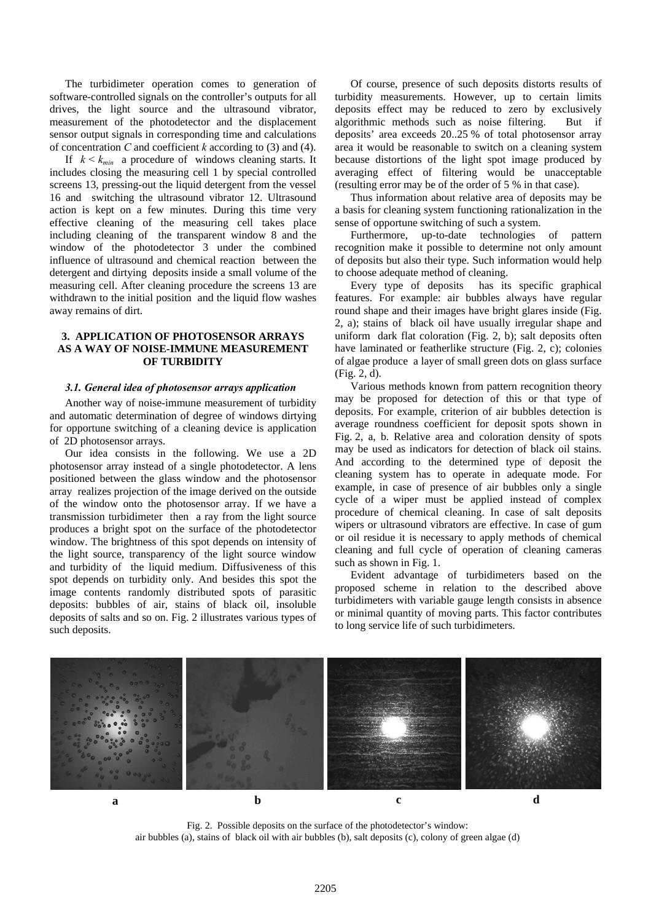The turbidimeter operation comes to generation of software-controlled signals on the controller's outputs for all drives, the light source and the ultrasound vibrator, measurement of the photodetector and the displacement sensor output signals in corresponding time and calculations of concentration *C* and coefficient *k* according to (3) and (4).

If  $k \leq k_{min}$  a procedure of windows cleaning starts. It includes closing the measuring cell 1 by special controlled screens 13, pressing-out the liquid detergent from the vessel 16 and switching the ultrasound vibrator 12. Ultrasound action is kept on a few minutes. During this time very effective cleaning of the measuring cell takes place including cleaning of the transparent window 8 and the window of the photodetector 3 under the combined influence of ultrasound and chemical reaction between the detergent and dirtying deposits inside a small volume of the measuring cell. After cleaning procedure the screens 13 are withdrawn to the initial position and the liquid flow washes away remains of dirt.

# **3. APPLICATION OF PHOTOSENSOR ARRAYS AS A WAY OF NOISE-IMMUNE MEASUREMENT OF TURBIDITY**

### *3.1. General idea of photosensor arrays application*

Another way of noise-immune measurement of turbidity and automatic determination of degree of windows dirtying for opportune switching of a cleaning device is application of 2D photosensor arrays.

Our idea consists in the following. We use a 2D photosensor array instead of a single photodetector. A lens positioned between the glass window and the photosensor array realizes projection of the image derived on the outside of the window onto the photosensor array. If we have a transmission turbidimeter then a ray from the light source produces a bright spot on the surface of the photodetector window. The brightness of this spot depends on intensity of the light source, transparency of the light source window and turbidity of the liquid medium. Diffusiveness of this spot depends on turbidity only. And besides this spot the image contents randomly distributed spots of parasitic deposits: bubbles of air, stains of black oil, insoluble deposits of salts and so on. Fig. 2 illustrates various types of such deposits.

Of course, presence of such deposits distorts results of turbidity measurements. However, up to certain limits deposits effect may be reduced to zero by exclusively algorithmic methods such as noise filtering. But if deposits' area exceeds 20..25 % of total photosensor array area it would be reasonable to switch on a cleaning system because distortions of the light spot image produced by averaging effect of filtering would be unacceptable (resulting error may be of the order of 5 % in that case).

Thus information about relative area of deposits may be a basis for cleaning system functioning rationalization in the sense of opportune switching of such a system.

Furthermore, up-to-date technologies of pattern recognition make it possible to determine not only amount of deposits but also their type. Such information would help to choose adequate method of cleaning.

Every type of deposits has its specific graphical features. For example: air bubbles always have regular round shape and their images have bright glares inside (Fig. 2, a); stains of black oil have usually irregular shape and uniform dark flat coloration (Fig. 2, b); salt deposits often have laminated or featherlike structure (Fig. 2, c); colonies of algae produce a layer of small green dots on glass surface (Fig. 2, d).

Various methods known from pattern recognition theory may be proposed for detection of this or that type of deposits. For example, criterion of air bubbles detection is average roundness coefficient for deposit spots shown in Fig. 2, a, b. Relative area and coloration density of spots may be used as indicators for detection of black oil stains. And according to the determined type of deposit the cleaning system has to operate in adequate mode. For example, in case of presence of air bubbles only a single cycle of a wiper must be applied instead of complex procedure of chemical cleaning. In case of salt deposits wipers or ultrasound vibrators are effective. In case of gum or oil residue it is necessary to apply methods of chemical cleaning and full cycle of operation of cleaning cameras such as shown in Fig. 1.

Evident advantage of turbidimeters based on the proposed scheme in relation to the described above turbidimeters with variable gauge length consists in absence or minimal quantity of moving parts. This factor contributes to long service life of such turbidimeters.



Fig. 2. Possible deposits on the surface of the photodetector's window: air bubbles (a), stains of black oil with air bubbles (b), salt deposits (c), colony of green algae (d)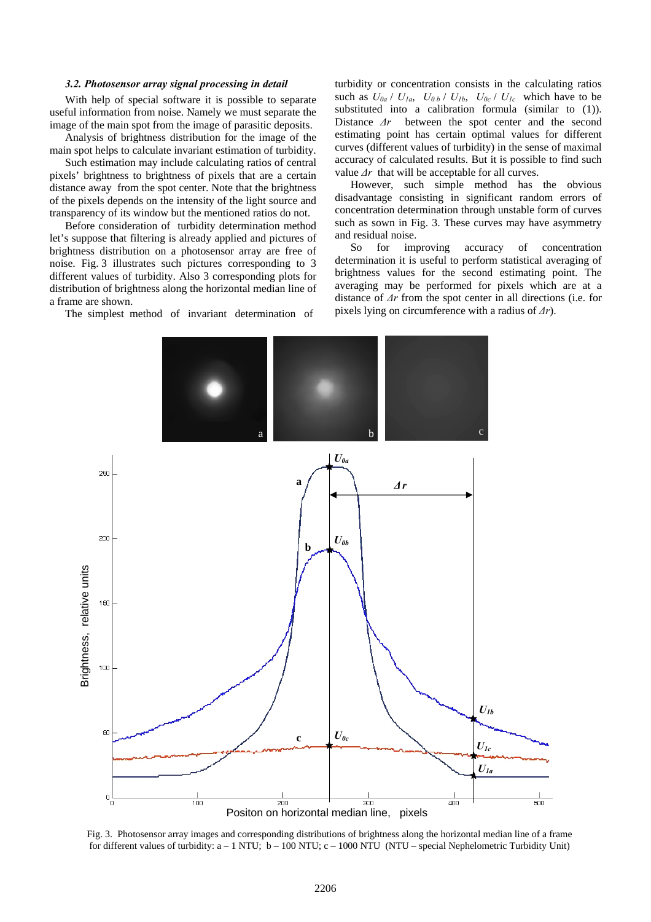#### *3.2. Photosensor array signal processing in detail*

With help of special software it is possible to separate useful information from noise. Namely we must separate the image of the main spot from the image of parasitic deposits.

Analysis of brightness distribution for the image of the main spot helps to calculate invariant estimation of turbidity.

Such estimation may include calculating ratios of central pixels' brightness to brightness of pixels that are a certain distance away from the spot center. Note that the brightness of the pixels depends on the intensity of the light source and transparency of its window but the mentioned ratios do not.

Before consideration of turbidity determination method let's suppose that filtering is already applied and pictures of brightness distribution on a photosensor array are free of noise. Fig. 3 illustrates such pictures corresponding to 3 different values of turbidity. Also 3 corresponding plots for distribution of brightness along the horizontal median line of a frame are shown.

The simplest method of invariant determination of

turbidity or concentration consists in the calculating ratios such as  $U_{0a}$  /  $U_{1a}$ ,  $U_{0b}$  /  $U_{1b}$ ,  $U_{0c}$  /  $U_{1c}$  which have to be substituted into a calibration formula (similar to (1)). Distance *∆r* between the spot center and the second estimating point has certain optimal values for different curves (different values of turbidity) in the sense of maximal accuracy of calculated results. But it is possible to find such value *∆r* that will be acceptable for all curves.

However, such simple method has the obvious disadvantage consisting in significant random errors of concentration determination through unstable form of curves such as sown in Fig. 3. These curves may have asymmetry and residual noise.

So for improving accuracy of concentration determination it is useful to perform statistical averaging of brightness values for the second estimating point. The averaging may be performed for pixels which are at a distance of *∆r* from the spot center in all directions (i.e. for pixels lying on circumference with a radius of *∆r*).



Fig. 3. Photosensor array images and corresponding distributions of brightness along the horizontal median line of a frame for different values of turbidity: a – 1 NTU; b – 100 NTU; c – 1000 NTU (NTU – special Nephelometric Turbidity Unit)